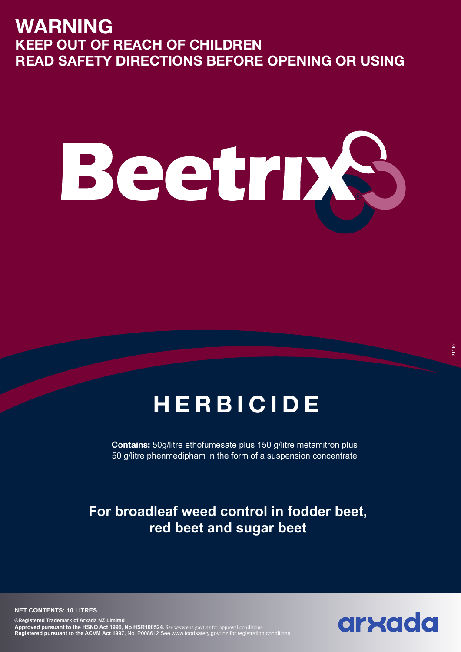# **WARNING KEEP OUT OF REACH OF CHILDREN READ SAFETY DIRECTIONS BEFORE OPENING OR USING**

# Beeth N

# **HERBICIDE**

**Contains:** 50g/litre ethofumesate plus 150 g/litre metamitron plus 50 g/litre phenmedipham in the form of a suspension concentrate

## **For broadleaf weed control in fodder beet, red beet and sugar beet**

**NET CONTENTS: 10 LITRES**

**®Registered Trademark of Arxada NZ Limited Approved pursuant to the HSNO Act 1996, No HSR100524.** See www.epa.govt.nz for approval conditions. **Registered pursuant to the ACVM Act 1997,** No. P008612 See www.foodsafety.govt.nz for registration conditions.